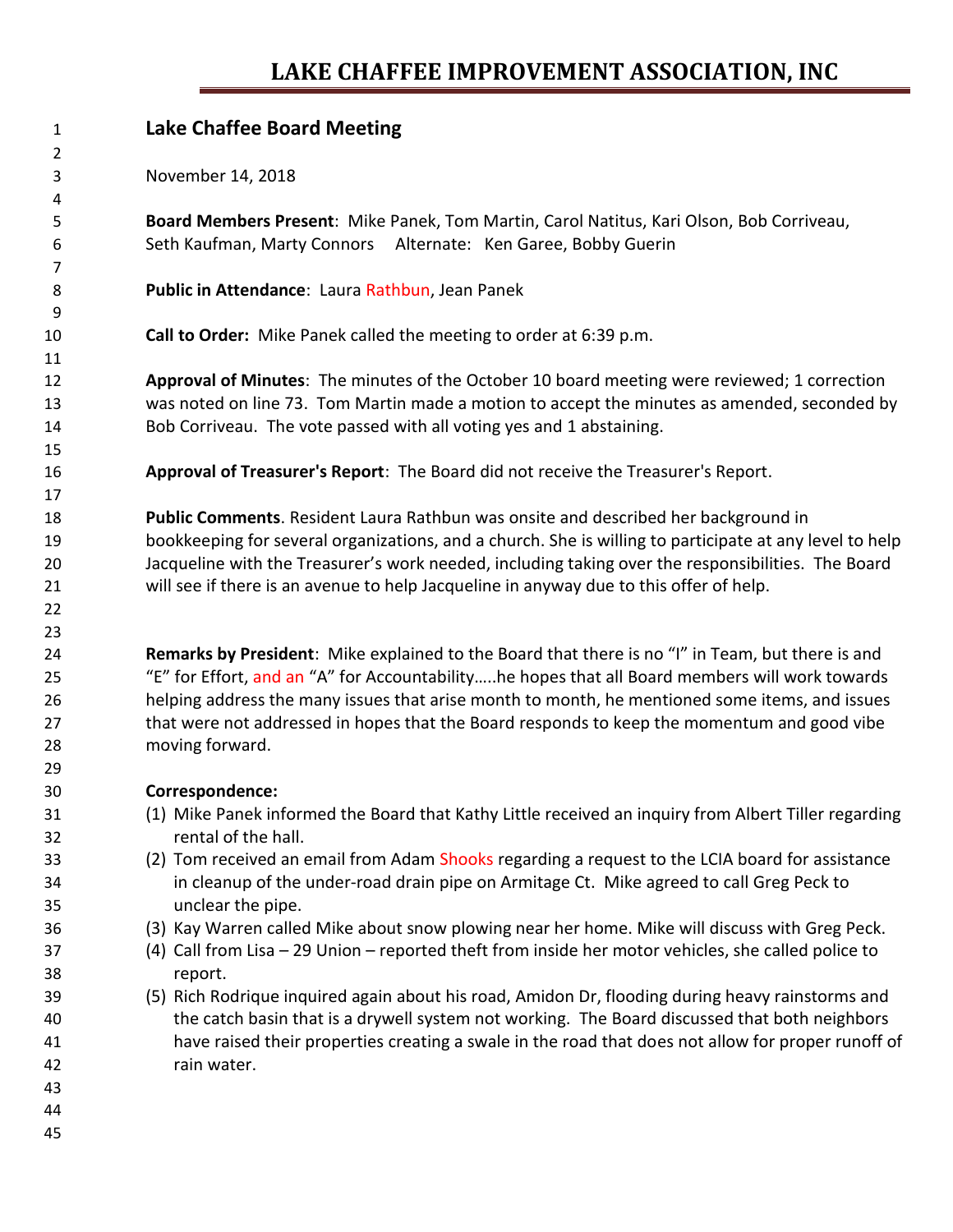## **LAKE CHAFFEE IMPROVEMENT ASSOCIATION, INC**

| 1        | <b>Lake Chaffee Board Meeting</b>                                                                                                                          |  |  |  |  |  |  |
|----------|------------------------------------------------------------------------------------------------------------------------------------------------------------|--|--|--|--|--|--|
| 2<br>3   | November 14, 2018                                                                                                                                          |  |  |  |  |  |  |
| 4        |                                                                                                                                                            |  |  |  |  |  |  |
| 5<br>6   | Board Members Present: Mike Panek, Tom Martin, Carol Natitus, Kari Olson, Bob Corriveau,<br>Seth Kaufman, Marty Connors Alternate: Ken Garee, Bobby Guerin |  |  |  |  |  |  |
| 7        |                                                                                                                                                            |  |  |  |  |  |  |
| 8        | Public in Attendance: Laura Rathbun, Jean Panek                                                                                                            |  |  |  |  |  |  |
| 9        |                                                                                                                                                            |  |  |  |  |  |  |
| 10       | Call to Order: Mike Panek called the meeting to order at 6:39 p.m.                                                                                         |  |  |  |  |  |  |
| 11       |                                                                                                                                                            |  |  |  |  |  |  |
| 12       | Approval of Minutes: The minutes of the October 10 board meeting were reviewed; 1 correction                                                               |  |  |  |  |  |  |
| 13       | was noted on line 73. Tom Martin made a motion to accept the minutes as amended, seconded by                                                               |  |  |  |  |  |  |
| 14       | Bob Corriveau. The vote passed with all voting yes and 1 abstaining.                                                                                       |  |  |  |  |  |  |
| 15<br>16 | Approval of Treasurer's Report: The Board did not receive the Treasurer's Report.                                                                          |  |  |  |  |  |  |
| 17       |                                                                                                                                                            |  |  |  |  |  |  |
| 18       | Public Comments. Resident Laura Rathbun was onsite and described her background in                                                                         |  |  |  |  |  |  |
| 19       | bookkeeping for several organizations, and a church. She is willing to participate at any level to help                                                    |  |  |  |  |  |  |
| 20       | Jacqueline with the Treasurer's work needed, including taking over the responsibilities. The Board                                                         |  |  |  |  |  |  |
| 21       | will see if there is an avenue to help Jacqueline in anyway due to this offer of help.                                                                     |  |  |  |  |  |  |
| 22       |                                                                                                                                                            |  |  |  |  |  |  |
| 23       |                                                                                                                                                            |  |  |  |  |  |  |
| 24       | Remarks by President: Mike explained to the Board that there is no "I" in Team, but there is and                                                           |  |  |  |  |  |  |
| 25       | "E" for Effort, and an "A" for Accountabilityhe hopes that all Board members will work towards                                                             |  |  |  |  |  |  |
| 26       | helping address the many issues that arise month to month, he mentioned some items, and issues                                                             |  |  |  |  |  |  |
| 27       | that were not addressed in hopes that the Board responds to keep the momentum and good vibe                                                                |  |  |  |  |  |  |
| 28       | moving forward.                                                                                                                                            |  |  |  |  |  |  |
| 29       |                                                                                                                                                            |  |  |  |  |  |  |
| 30       | Correspondence:                                                                                                                                            |  |  |  |  |  |  |
| 31       | (1) Mike Panek informed the Board that Kathy Little received an inquiry from Albert Tiller regarding                                                       |  |  |  |  |  |  |
| 32       | rental of the hall.                                                                                                                                        |  |  |  |  |  |  |
| 33       | (2) Tom received an email from Adam Shooks regarding a request to the LCIA board for assistance                                                            |  |  |  |  |  |  |
| 34       | in cleanup of the under-road drain pipe on Armitage Ct. Mike agreed to call Greg Peck to                                                                   |  |  |  |  |  |  |
| 35       | unclear the pipe.<br>(3) Kay Warren called Mike about snow plowing near her home. Mike will discuss with Greg Peck.                                        |  |  |  |  |  |  |
| 36<br>37 | (4) Call from Lisa - 29 Union - reported theft from inside her motor vehicles, she called police to                                                        |  |  |  |  |  |  |
| 38       | report.                                                                                                                                                    |  |  |  |  |  |  |
| 39       | (5) Rich Rodrique inquired again about his road, Amidon Dr, flooding during heavy rainstorms and                                                           |  |  |  |  |  |  |
| 40       | the catch basin that is a drywell system not working. The Board discussed that both neighbors                                                              |  |  |  |  |  |  |
| 41       | have raised their properties creating a swale in the road that does not allow for proper runoff of                                                         |  |  |  |  |  |  |
| 42       | rain water.                                                                                                                                                |  |  |  |  |  |  |
| 43       |                                                                                                                                                            |  |  |  |  |  |  |
| 44       |                                                                                                                                                            |  |  |  |  |  |  |
| 45       |                                                                                                                                                            |  |  |  |  |  |  |
|          |                                                                                                                                                            |  |  |  |  |  |  |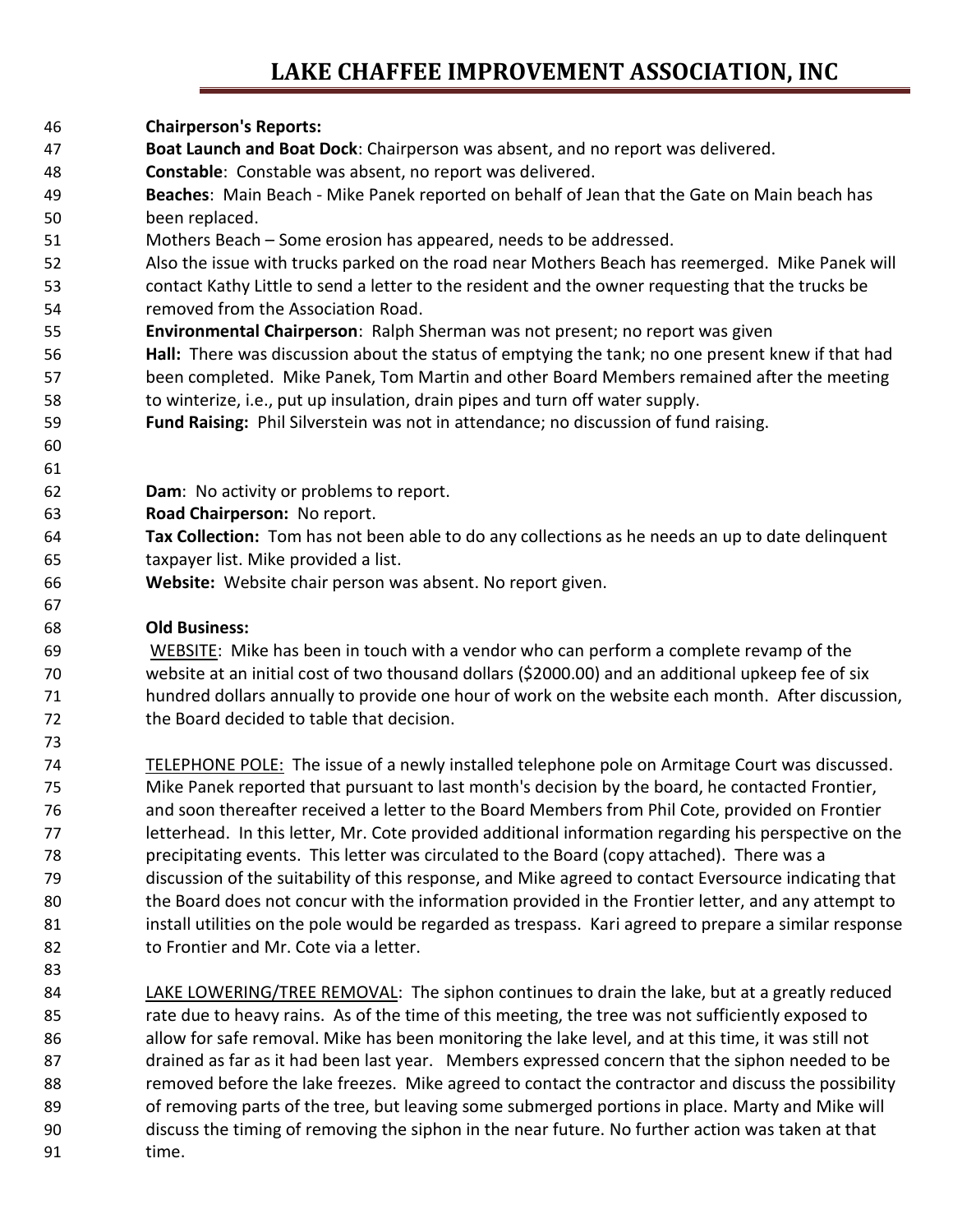### **LAKE CHAFFEE IMPROVEMENT ASSOCIATION, INC**

- **Chairperson's Reports:**
- **Boat Launch and Boat Dock**: Chairperson was absent, and no report was delivered.
- **Constable**: Constable was absent, no report was delivered.
- **Beaches**: Main Beach Mike Panek reported on behalf of Jean that the Gate on Main beach has been replaced.
- Mothers Beach Some erosion has appeared, needs to be addressed.
- Also the issue with trucks parked on the road near Mothers Beach has reemerged. Mike Panek will contact Kathy Little to send a letter to the resident and the owner requesting that the trucks be removed from the Association Road.
- **Environmental Chairperson**: Ralph Sherman was not present; no report was given
- **Hall:** There was discussion about the status of emptying the tank; no one present knew if that had been completed. Mike Panek, Tom Martin and other Board Members remained after the meeting to winterize, i.e., put up insulation, drain pipes and turn off water supply.
- **Fund Raising:** Phil Silverstein was not in attendance; no discussion of fund raising.
- 

- **Dam**: No activity or problems to report.
- **Road Chairperson:** No report.
- **Tax Collection:** Tom has not been able to do any collections as he needs an up to date delinquent taxpayer list. Mike provided a list.
- **Website:** Website chair person was absent. No report given.

#### **Old Business:**

 WEBSITE: Mike has been in touch with a vendor who can perform a complete revamp of the website at an initial cost of two thousand dollars (\$2000.00) and an additional upkeep fee of six hundred dollars annually to provide one hour of work on the website each month. After discussion, the Board decided to table that decision.

- TELEPHONE POLE: The issue of a newly installed telephone pole on Armitage Court was discussed. Mike Panek reported that pursuant to last month's decision by the board, he contacted Frontier, and soon thereafter received a letter to the Board Members from Phil Cote, provided on Frontier letterhead. In this letter, Mr. Cote provided additional information regarding his perspective on the precipitating events. This letter was circulated to the Board (copy attached). There was a discussion of the suitability of this response, and Mike agreed to contact Eversource indicating that the Board does not concur with the information provided in the Frontier letter, and any attempt to 81 install utilities on the pole would be regarded as trespass. Kari agreed to prepare a similar response to Frontier and Mr. Cote via a letter.
- 84 LAKE LOWERING/TREE REMOVAL: The siphon continues to drain the lake, but at a greatly reduced rate due to heavy rains. As of the time of this meeting, the tree was not sufficiently exposed to allow for safe removal. Mike has been monitoring the lake level, and at this time, it was still not drained as far as it had been last year. Members expressed concern that the siphon needed to be removed before the lake freezes. Mike agreed to contact the contractor and discuss the possibility of removing parts of the tree, but leaving some submerged portions in place. Marty and Mike will discuss the timing of removing the siphon in the near future. No further action was taken at that time.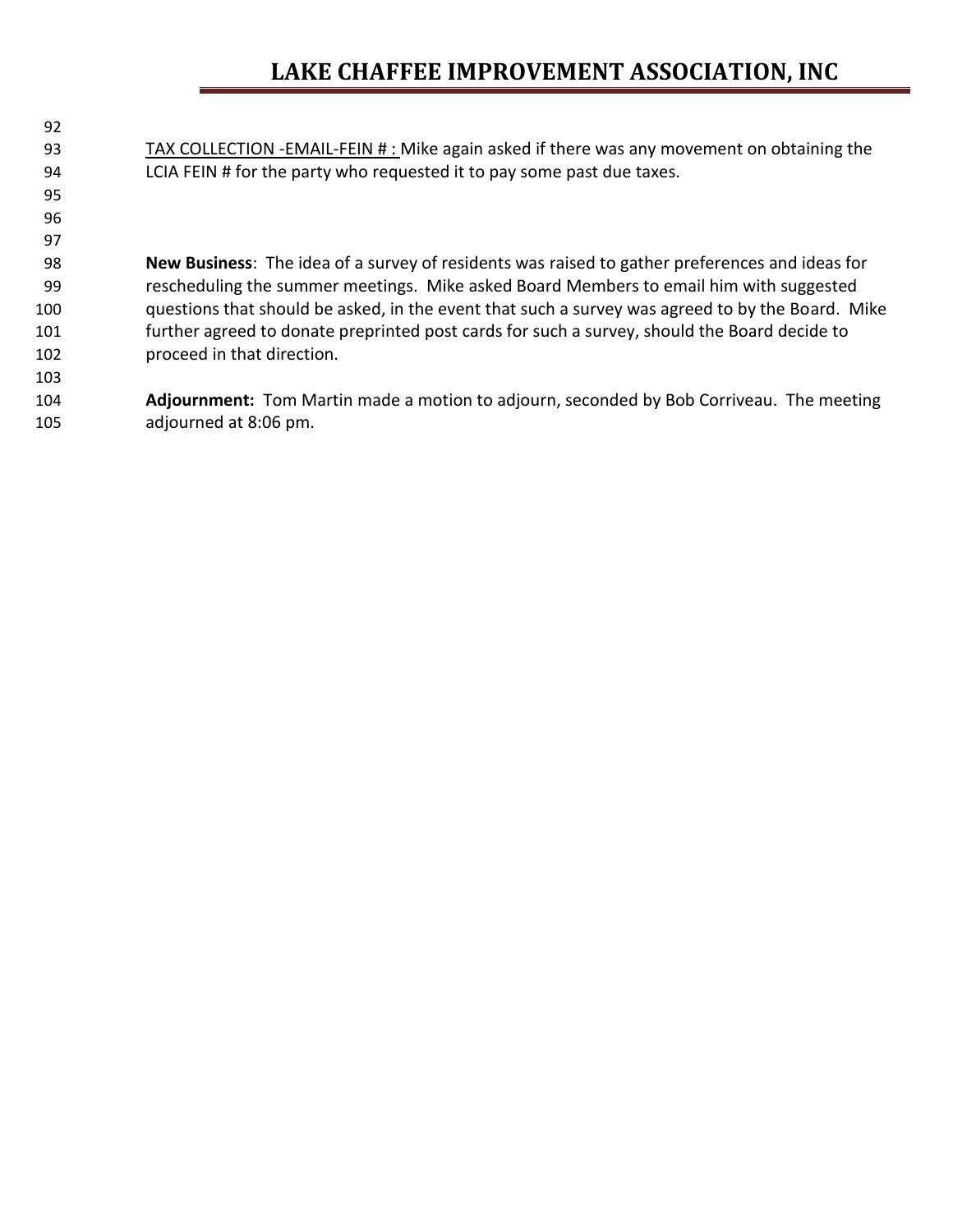# **LAKE CHAFFEE IMPROVEMENT ASSOCIATION, INC**

| 92  |                                                                                                  |
|-----|--------------------------------------------------------------------------------------------------|
| 93  | TAX COLLECTION -EMAIL-FEIN #: Mike again asked if there was any movement on obtaining the        |
| 94  | LCIA FEIN # for the party who requested it to pay some past due taxes.                           |
| 95  |                                                                                                  |
| 96  |                                                                                                  |
| 97  |                                                                                                  |
| 98  | New Business: The idea of a survey of residents was raised to gather preferences and ideas for   |
| 99  | rescheduling the summer meetings. Mike asked Board Members to email him with suggested           |
| 100 | questions that should be asked, in the event that such a survey was agreed to by the Board. Mike |
| 101 | further agreed to donate preprinted post cards for such a survey, should the Board decide to     |
| 102 | proceed in that direction.                                                                       |
| 103 |                                                                                                  |
| 104 | Adjournment: Tom Martin made a motion to adjourn, seconded by Bob Corriveau. The meeting         |
| 105 | adjourned at 8:06 pm.                                                                            |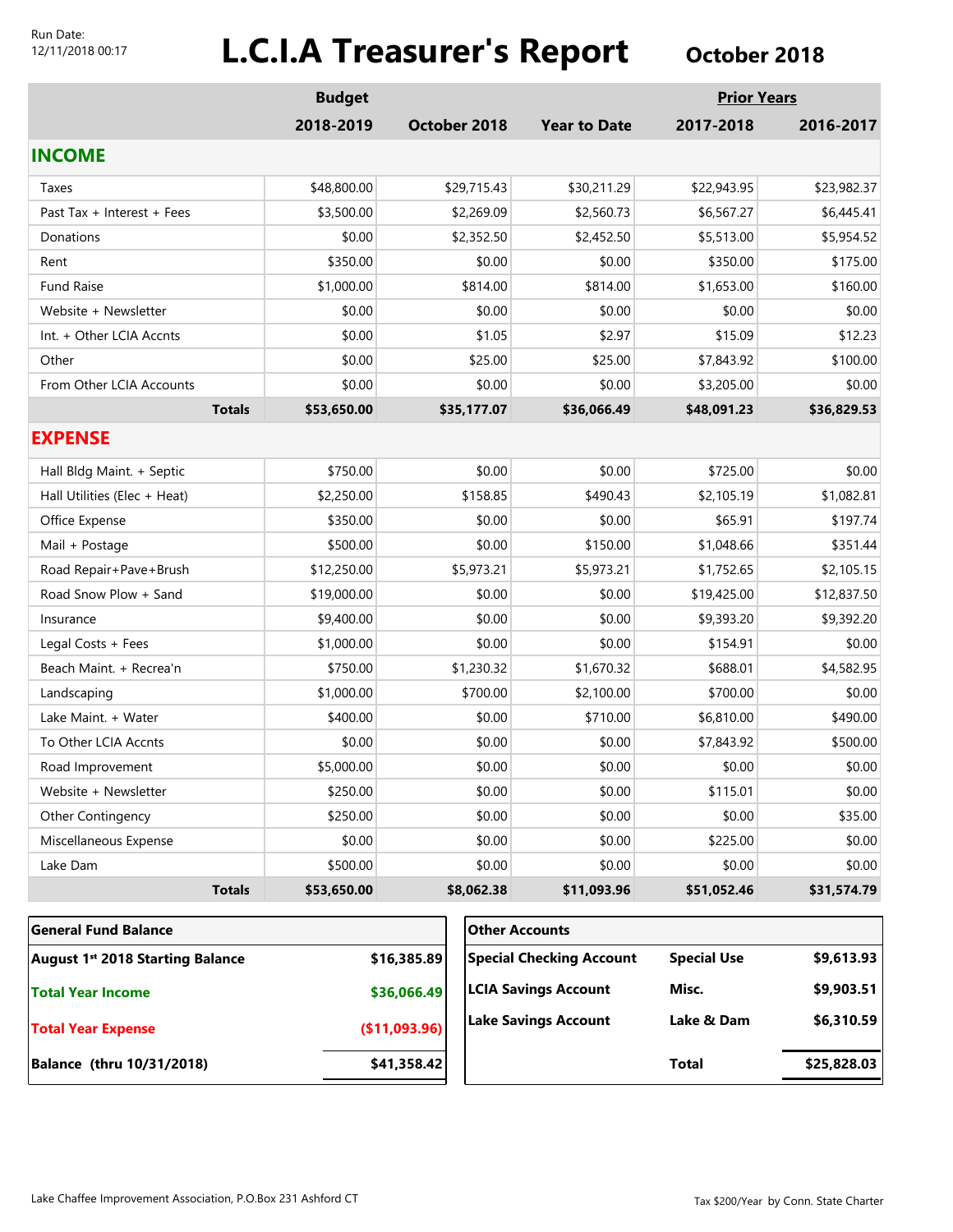#### Run Date: 12/11/2018 00:17

# **L.C.I.A Treasurer's Report** October 2018

|                                         | <b>Budget</b> |               |                             |                                 | <b>Prior Years</b> |             |
|-----------------------------------------|---------------|---------------|-----------------------------|---------------------------------|--------------------|-------------|
|                                         | 2018-2019     |               | October 2018                | <b>Year to Date</b>             | 2017-2018          | 2016-2017   |
| <b>INCOME</b>                           |               |               |                             |                                 |                    |             |
| Taxes                                   | \$48,800.00   | \$29,715.43   |                             | \$30,211.29                     | \$22,943.95        | \$23,982.37 |
| Past Tax + Interest + Fees              | \$3,500.00    | \$2,269.09    |                             | \$2,560.73                      | \$6,567.27         | \$6,445.41  |
| Donations                               | \$0.00        | \$2,352.50    |                             | \$2,452.50                      | \$5,513.00         | \$5,954.52  |
| Rent                                    | \$350.00      |               | \$0.00                      | \$0.00                          | \$350.00           | \$175.00    |
| Fund Raise                              | \$1,000.00    |               | \$814.00                    | \$814.00                        | \$1,653.00         | \$160.00    |
| Website + Newsletter                    | \$0.00        |               | \$0.00                      | \$0.00                          | \$0.00             | \$0.00      |
| Int. + Other LCIA Accnts                | \$0.00        |               | \$1.05                      | \$2.97                          | \$15.09            | \$12.23     |
| Other                                   | \$0.00        |               | \$25.00                     | \$25.00                         | \$7,843.92         | \$100.00    |
| From Other LCIA Accounts                | \$0.00        |               | \$0.00                      | \$0.00                          | \$3,205.00         | \$0.00      |
| <b>Totals</b>                           | \$53,650.00   |               | \$35,177.07                 | \$36,066.49                     | \$48,091.23        | \$36,829.53 |
| <b>EXPENSE</b>                          |               |               |                             |                                 |                    |             |
| Hall Bldg Maint. + Septic               | \$750.00      |               | \$0.00                      | \$0.00                          | \$725.00           | \$0.00      |
| Hall Utilities (Elec + Heat)            | \$2,250.00    |               | \$158.85                    | \$490.43                        | \$2,105.19         | \$1,082.81  |
| Office Expense                          | \$350.00      |               | \$0.00                      | \$0.00                          | \$65.91            | \$197.74    |
| Mail + Postage                          | \$500.00      |               | \$0.00                      | \$150.00                        | \$1,048.66         | \$351.44    |
| Road Repair+Pave+Brush                  | \$12,250.00   |               | \$5,973.21                  | \$5,973.21                      | \$1,752.65         | \$2,105.15  |
| Road Snow Plow + Sand                   | \$19,000.00   |               | \$0.00                      | \$0.00                          | \$19,425.00        | \$12,837.50 |
| Insurance                               | \$9,400.00    |               | \$0.00                      | \$0.00                          | \$9,393.20         | \$9,392.20  |
| Legal Costs + Fees                      | \$1,000.00    |               | \$0.00                      | \$0.00                          | \$154.91           | \$0.00      |
| Beach Maint. + Recrea'n                 | \$750.00      | \$1,230.32    |                             | \$1,670.32                      | \$688.01           | \$4,582.95  |
| Landscaping                             | \$1,000.00    | \$700.00      |                             | \$2,100.00                      | \$700.00           | \$0.00      |
| Lake Maint. + Water                     | \$400.00      |               | \$0.00                      | \$710.00                        | \$6,810.00         | \$490.00    |
| To Other LCIA Accnts                    | \$0.00        |               | \$0.00                      | \$0.00                          | \$7,843.92         | \$500.00    |
| Road Improvement                        | \$5,000.00    | \$0.00        |                             | \$0.00                          | \$0.00             | \$0.00      |
| Website + Newsletter                    | \$250.00      | \$0.00        |                             | \$0.00                          | \$115.01           | \$0.00      |
| Other Contingency                       | \$250.00      |               | \$0.00                      | \$0.00                          | \$0.00             | \$35.00     |
| Miscellaneous Expense                   | \$0.00        |               | \$0.00                      | \$0.00                          | \$225.00           | \$0.00      |
| Lake Dam                                | \$500.00      | \$0.00        |                             | \$0.00                          | \$0.00             | \$0.00      |
| <b>Totals</b>                           | \$53,650.00   |               | \$8,062.38                  | \$11,093.96                     | \$51,052.46        | \$31,574.79 |
| <b>General Fund Balance</b>             |               |               |                             | <b>Other Accounts</b>           |                    |             |
| <b>August 1st 2018 Starting Balance</b> |               | \$16,385.89   |                             | <b>Special Checking Account</b> | <b>Special Use</b> | \$9,613.93  |
| <b>Total Year Income</b>                |               | \$36,066.49   | <b>LCIA Savings Account</b> |                                 | Misc.              | \$9,903.51  |
| <b>Total Year Expense</b>               |               | (\$11,093.96) | <b>Lake Savings Account</b> |                                 | Lake & Dam         | \$6,310.59  |

**Balance (thru 10/31/2018) \$41,358.42** 

**Total \$25,828.03**